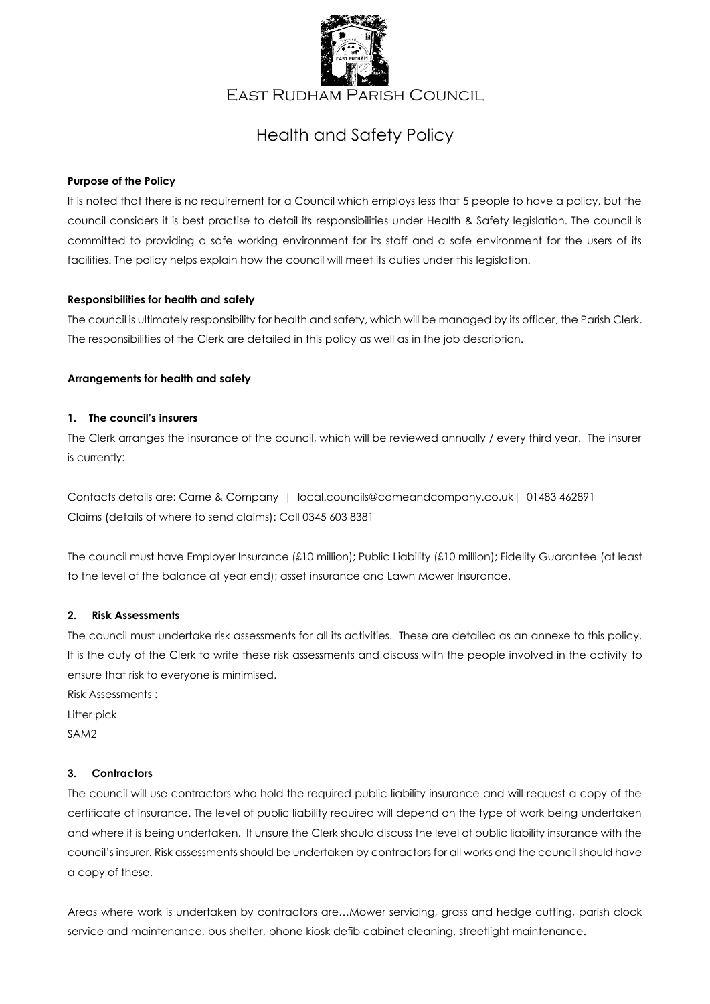

East Rudham Parish Council

# Health and Safety Policy

# **Purpose of the Policy**

It is noted that there is no requirement for a Council which employs less that 5 people to have a policy, but the council considers it is best practise to detail its responsibilities under Health & Safety legislation. The council is committed to providing a safe working environment for its staff and a safe environment for the users of its facilities. The policy helps explain how the council will meet its duties under this legislation.

## **Responsibilities for health and safety**

The council is ultimately responsibility for health and safety, which will be managed by its officer, the Parish Clerk. The responsibilities of the Clerk are detailed in this policy as well as in the job description.

## **Arrangements for health and safety**

## **1. The council's insurers**

The Clerk arranges the insurance of the council, which will be reviewed annually / every third year. The insurer is currently:

Contacts details are: Came & Company | local.councils@cameandcompany.co.uk| 01483 462891 Claims (details of where to send claims): Call 0345 603 8381

The council must have Employer Insurance (£10 million); Public Liability (£10 million); Fidelity Guarantee (at least to the level of the balance at year end); asset insurance and Lawn Mower Insurance.

# **2. Risk Assessments**

The council must undertake risk assessments for all its activities. These are detailed as an annexe to this policy. It is the duty of the Clerk to write these risk assessments and discuss with the people involved in the activity to ensure that risk to everyone is minimised.

Risk Assessments :

Litter pick

SAM2

# **3. Contractors**

The council will use contractors who hold the required public liability insurance and will request a copy of the certificate of insurance. The level of public liability required will depend on the type of work being undertaken and where it is being undertaken. If unsure the Clerk should discuss the level of public liability insurance with the council's insurer. Risk assessments should be undertaken by contractors for all works and the council should have a copy of these.

Areas where work is undertaken by contractors are…Mower servicing, grass and hedge cutting, parish clock service and maintenance, bus shelter, phone kiosk defib cabinet cleaning, streetlight maintenance.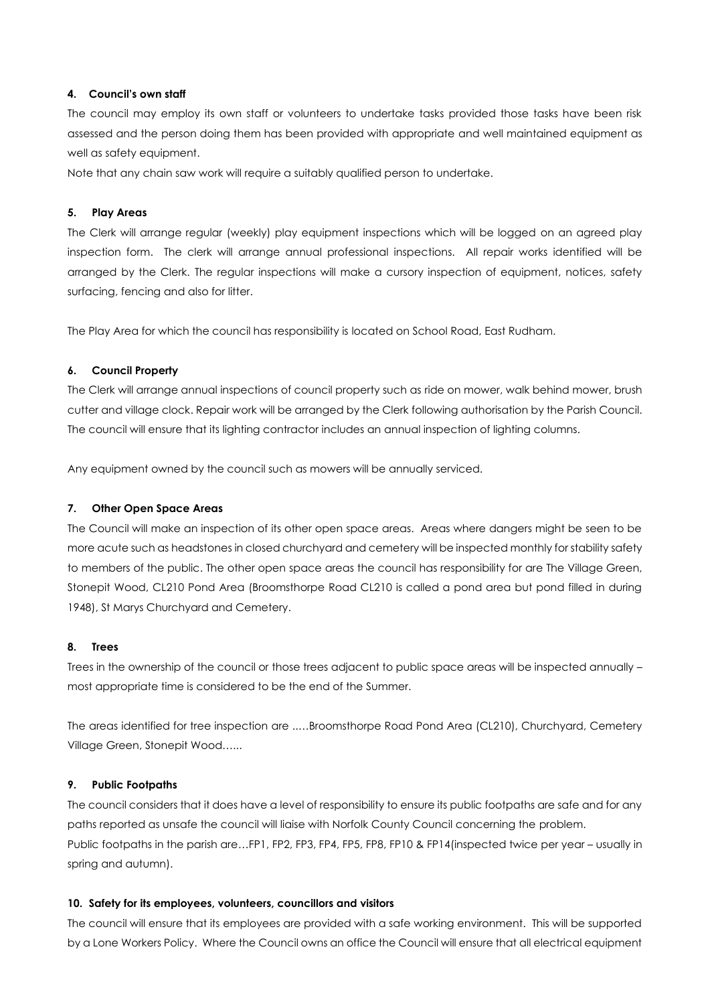#### **4. Council's own staff**

The council may employ its own staff or volunteers to undertake tasks provided those tasks have been risk assessed and the person doing them has been provided with appropriate and well maintained equipment as well as safety equipment.

Note that any chain saw work will require a suitably qualified person to undertake.

# **5. Play Areas**

The Clerk will arrange regular (weekly) play equipment inspections which will be logged on an agreed play inspection form. The clerk will arrange annual professional inspections. All repair works identified will be arranged by the Clerk. The regular inspections will make a cursory inspection of equipment, notices, safety surfacing, fencing and also for litter.

The Play Area for which the council has responsibility is located on School Road, East Rudham.

## **6. Council Property**

The Clerk will arrange annual inspections of council property such as ride on mower, walk behind mower, brush cutter and village clock. Repair work will be arranged by the Clerk following authorisation by the Parish Council. The council will ensure that its lighting contractor includes an annual inspection of lighting columns.

Any equipment owned by the council such as mowers will be annually serviced.

# **7. Other Open Space Areas**

The Council will make an inspection of its other open space areas. Areas where dangers might be seen to be more acute such as headstones in closed churchyard and cemetery will be inspected monthly for stability safety to members of the public. The other open space areas the council has responsibility for are The Village Green, Stonepit Wood, CL210 Pond Area (Broomsthorpe Road CL210 is called a pond area but pond filled in during 1948), St Marys Churchyard and Cemetery.

# **8. Trees**

Trees in the ownership of the council or those trees adjacent to public space areas will be inspected annually – most appropriate time is considered to be the end of the Summer.

The areas identified for tree inspection are ..…Broomsthorpe Road Pond Area (CL210), Churchyard, Cemetery Village Green, Stonepit Wood…...

#### **9. Public Footpaths**

The council considers that it does have a level of responsibility to ensure its public footpaths are safe and for any paths reported as unsafe the council will liaise with Norfolk County Council concerning the problem. Public footpaths in the parish are...FP1, FP2, FP3, FP4, FP5, FP8, FP10 & FP14(inspected twice per year – usually in spring and autumn).

#### **10. Safety for its employees, volunteers, councillors and visitors**

The council will ensure that its employees are provided with a safe working environment. This will be supported by a Lone Workers Policy. Where the Council owns an office the Council will ensure that all electrical equipment